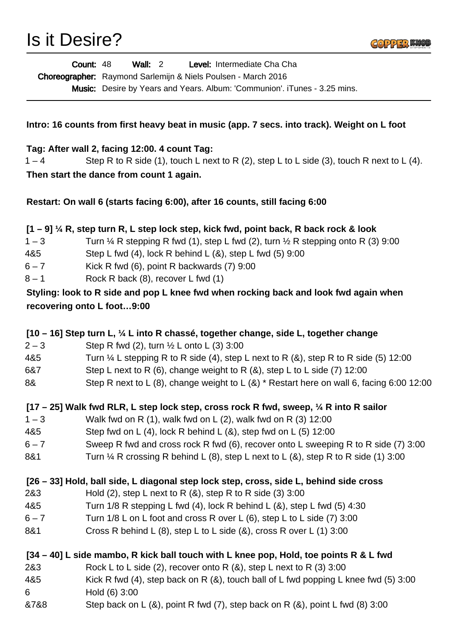

| <b>Count: 48</b> | Wall: $2$                                                            |  | Level: Intermediate Cha Cha                                              |  |
|------------------|----------------------------------------------------------------------|--|--------------------------------------------------------------------------|--|
|                  | <b>Choreographer:</b> Raymond Sarlemijn & Niels Poulsen - March 2016 |  |                                                                          |  |
|                  |                                                                      |  | Music Desire by Vesse and Vesse Album Communical $T_{\text{under}}$ 0.00 |  |

Music: Desire by Years and Years. Album: 'Communion'. iTunes - 3.25 mins.

## **Intro: 16 counts from first heavy beat in music (app. 7 secs. into track). Weight on L foot**

## **Tag: After wall 2, facing 12:00. 4 count Tag:**

**Then start the dance from count 1 again.**  $1 - 4$  Step R to R side (1), touch L next to R (2), step L to L side (3), touch R next to L (4).

**Restart: On wall 6 (starts facing 6:00), after 16 counts, still facing 6:00**

# **[1 – 9] ¼ R, step turn R, L step lock step, kick fwd, point back, R back rock & look**

- $1-3$  Turn  $\frac{1}{4}$  R stepping R fwd (1), step L fwd (2), turn  $\frac{1}{2}$  R stepping onto R (3) 9:00
- 4&5 Step L fwd (4), lock R behind L (&), step L fwd (5) 9:00
- 6 7 Kick R fwd (6), point R backwards (7) 9:00
- 8 1 Rock R back (8), recover L fwd (1)

# **Styling: look to R side and pop L knee fwd when rocking back and look fwd again when recovering onto L foot…9:00**

|                                                                                        | [10 – 16] Step turn L, 1/4 L into R chassé, together change, side L, together change            |  |  |  |
|----------------------------------------------------------------------------------------|-------------------------------------------------------------------------------------------------|--|--|--|
| $2 - 3$                                                                                | Step R fwd (2), turn $\frac{1}{2}$ L onto L (3) 3:00                                            |  |  |  |
| 4&5                                                                                    | Turn $\frac{1}{4}$ L stepping R to R side (4), step L next to R (&), step R to R side (5) 12:00 |  |  |  |
| 6&7                                                                                    | Step L next to R $(6)$ , change weight to R $(8)$ , step L to L side $(7)$ 12:00                |  |  |  |
| 8&                                                                                     | Step R next to L (8), change weight to L (&) * Restart here on wall 6, facing 6:00 12:00        |  |  |  |
|                                                                                        | [17 – 25] Walk fwd RLR, L step lock step, cross rock R fwd, sweep, 1/4 R into R sailor          |  |  |  |
| $1 - 3$                                                                                | Walk fwd on R $(1)$ , walk fwd on L $(2)$ , walk fwd on R $(3)$ 12:00                           |  |  |  |
| 4&5                                                                                    | Step fwd on L $(4)$ , lock R behind L $(8)$ , step fwd on L $(5)$ 12:00                         |  |  |  |
| $6 - 7$                                                                                | Sweep R fwd and cross rock R fwd (6), recover onto L sweeping R to R side (7) 3:00              |  |  |  |
| 8&1                                                                                    | Turn $\frac{1}{4}$ R crossing R behind L (8), step L next to L (8), step R to R side (1) 3:00   |  |  |  |
| [26 - 33] Hold, ball side, L diagonal step lock step, cross, side L, behind side cross |                                                                                                 |  |  |  |
| 2&3                                                                                    | Hold $(2)$ , step L next to R $(8)$ , step R to R side $(3)$ 3:00                               |  |  |  |
| 4&5                                                                                    | Turn $1/8$ R stepping L fwd (4), lock R behind L (8), step L fwd (5) 4:30                       |  |  |  |
| $6 - 7$                                                                                | Turn 1/8 L on L foot and cross R over L (6), step L to L side (7) 3:00                          |  |  |  |
| 8&1                                                                                    | Cross R behind L $(8)$ , step L to L side $(8)$ , cross R over L $(1)$ 3:00                     |  |  |  |
| [34 – 40] L side mambo, R kick ball touch with L knee pop, Hold, toe points R & L fwd  |                                                                                                 |  |  |  |
| 2&3                                                                                    | Rock L to L side (2), recover onto R (&), step L next to R (3) 3:00                             |  |  |  |
| 4&5                                                                                    | Kick R fwd (4), step back on R $(8)$ , touch ball of L fwd popping L knee fwd (5) 3:00          |  |  |  |
| 6                                                                                      | Hold (6) 3:00                                                                                   |  |  |  |
| &7&8                                                                                   | Step back on L $(8)$ , point R fwd $(7)$ , step back on R $(8)$ , point L fwd $(8)$ 3:00        |  |  |  |